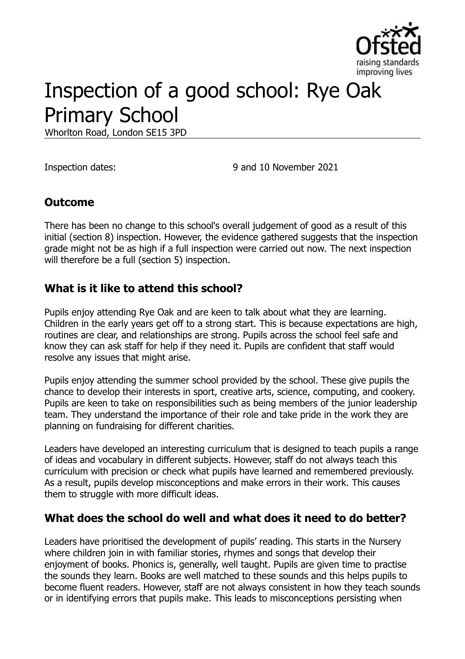

# Inspection of a good school: Rye Oak Primary School

Whorlton Road, London SE15 3PD

Inspection dates: 9 and 10 November 2021

# **Outcome**

There has been no change to this school's overall judgement of good as a result of this initial (section 8) inspection. However, the evidence gathered suggests that the inspection grade might not be as high if a full inspection were carried out now. The next inspection will therefore be a full (section 5) inspection.

### **What is it like to attend this school?**

Pupils enjoy attending Rye Oak and are keen to talk about what they are learning. Children in the early years get off to a strong start. This is because expectations are high, routines are clear, and relationships are strong. Pupils across the school feel safe and know they can ask staff for help if they need it. Pupils are confident that staff would resolve any issues that might arise.

Pupils enjoy attending the summer school provided by the school. These give pupils the chance to develop their interests in sport, creative arts, science, computing, and cookery. Pupils are keen to take on responsibilities such as being members of the junior leadership team. They understand the importance of their role and take pride in the work they are planning on fundraising for different charities.

Leaders have developed an interesting curriculum that is designed to teach pupils a range of ideas and vocabulary in different subjects. However, staff do not always teach this curriculum with precision or check what pupils have learned and remembered previously. As a result, pupils develop misconceptions and make errors in their work. This causes them to struggle with more difficult ideas.

### **What does the school do well and what does it need to do better?**

Leaders have prioritised the development of pupils' reading. This starts in the Nursery where children join in with familiar stories, rhymes and songs that develop their enjoyment of books. Phonics is, generally, well taught. Pupils are given time to practise the sounds they learn. Books are well matched to these sounds and this helps pupils to become fluent readers. However, staff are not always consistent in how they teach sounds or in identifying errors that pupils make. This leads to misconceptions persisting when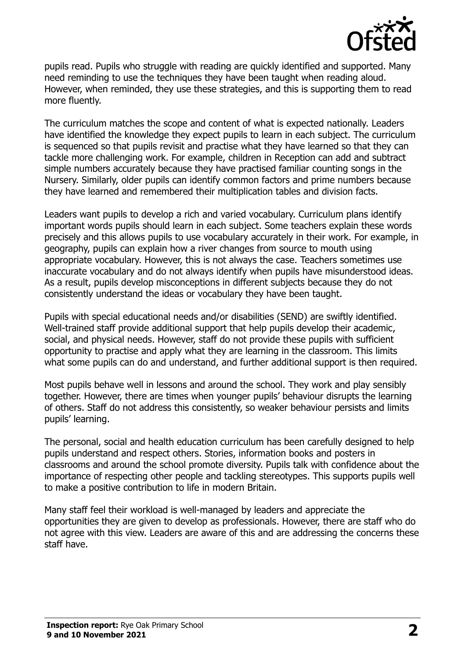

pupils read. Pupils who struggle with reading are quickly identified and supported. Many need reminding to use the techniques they have been taught when reading aloud. However, when reminded, they use these strategies, and this is supporting them to read more fluently.

The curriculum matches the scope and content of what is expected nationally. Leaders have identified the knowledge they expect pupils to learn in each subject. The curriculum is sequenced so that pupils revisit and practise what they have learned so that they can tackle more challenging work. For example, children in Reception can add and subtract simple numbers accurately because they have practised familiar counting songs in the Nursery. Similarly, older pupils can identify common factors and prime numbers because they have learned and remembered their multiplication tables and division facts.

Leaders want pupils to develop a rich and varied vocabulary. Curriculum plans identify important words pupils should learn in each subject. Some teachers explain these words precisely and this allows pupils to use vocabulary accurately in their work. For example, in geography, pupils can explain how a river changes from source to mouth using appropriate vocabulary. However, this is not always the case. Teachers sometimes use inaccurate vocabulary and do not always identify when pupils have misunderstood ideas. As a result, pupils develop misconceptions in different subjects because they do not consistently understand the ideas or vocabulary they have been taught.

Pupils with special educational needs and/or disabilities (SEND) are swiftly identified. Well-trained staff provide additional support that help pupils develop their academic, social, and physical needs. However, staff do not provide these pupils with sufficient opportunity to practise and apply what they are learning in the classroom. This limits what some pupils can do and understand, and further additional support is then required.

Most pupils behave well in lessons and around the school. They work and play sensibly together. However, there are times when younger pupils' behaviour disrupts the learning of others. Staff do not address this consistently, so weaker behaviour persists and limits pupils' learning.

The personal, social and health education curriculum has been carefully designed to help pupils understand and respect others. Stories, information books and posters in classrooms and around the school promote diversity. Pupils talk with confidence about the importance of respecting other people and tackling stereotypes. This supports pupils well to make a positive contribution to life in modern Britain.

Many staff feel their workload is well-managed by leaders and appreciate the opportunities they are given to develop as professionals. However, there are staff who do not agree with this view. Leaders are aware of this and are addressing the concerns these staff have.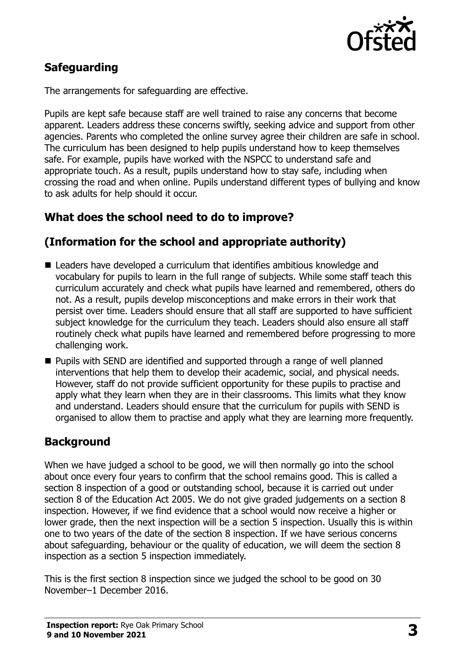

# **Safeguarding**

The arrangements for safeguarding are effective.

Pupils are kept safe because staff are well trained to raise any concerns that become apparent. Leaders address these concerns swiftly, seeking advice and support from other agencies. Parents who completed the online survey agree their children are safe in school. The curriculum has been designed to help pupils understand how to keep themselves safe. For example, pupils have worked with the NSPCC to understand safe and appropriate touch. As a result, pupils understand how to stay safe, including when crossing the road and when online. Pupils understand different types of bullying and know to ask adults for help should it occur.

# **What does the school need to do to improve?**

# **(Information for the school and appropriate authority)**

- Leaders have developed a curriculum that identifies ambitious knowledge and vocabulary for pupils to learn in the full range of subjects. While some staff teach this curriculum accurately and check what pupils have learned and remembered, others do not. As a result, pupils develop misconceptions and make errors in their work that persist over time. Leaders should ensure that all staff are supported to have sufficient subject knowledge for the curriculum they teach. Leaders should also ensure all staff routinely check what pupils have learned and remembered before progressing to more challenging work.
- **Pupils with SEND are identified and supported through a range of well planned** interventions that help them to develop their academic, social, and physical needs. However, staff do not provide sufficient opportunity for these pupils to practise and apply what they learn when they are in their classrooms. This limits what they know and understand. Leaders should ensure that the curriculum for pupils with SEND is organised to allow them to practise and apply what they are learning more frequently.

### **Background**

When we have judged a school to be good, we will then normally go into the school about once every four years to confirm that the school remains good. This is called a section 8 inspection of a good or outstanding school, because it is carried out under section 8 of the Education Act 2005. We do not give graded judgements on a section 8 inspection. However, if we find evidence that a school would now receive a higher or lower grade, then the next inspection will be a section 5 inspection. Usually this is within one to two years of the date of the section 8 inspection. If we have serious concerns about safeguarding, behaviour or the quality of education, we will deem the section 8 inspection as a section 5 inspection immediately.

This is the first section 8 inspection since we judged the school to be good on 30 November–1 December 2016.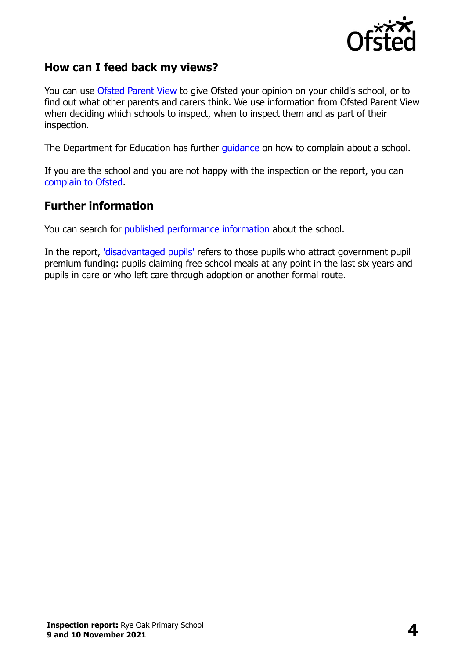

### **How can I feed back my views?**

You can use Ofsted [Parent View](https://parentview.ofsted.gov.uk/) to give Ofsted your opinion on your child's school, or to find out what other parents and carers think. We use information from Ofsted Parent View when deciding which schools to inspect, when to inspect them and as part of their inspection.

The Department for Education has further [guidance](http://www.gov.uk/complain-about-school) on how to complain about a school.

If you are the school and you are not happy with the inspection or the report, you can [complain to Ofsted.](https://www.gov.uk/complain-ofsted-report)

#### **Further information**

You can search for [published performance information](http://www.compare-school-performance.service.gov.uk/) about the school.

In the report, ['disadvantaged pupils'](http://www.gov.uk/guidance/pupil-premium-information-for-schools-and-alternative-provision-settings) refers to those pupils who attract government pupil premium funding: pupils claiming free school meals at any point in the last six years and pupils in care or who left care through adoption or another formal route.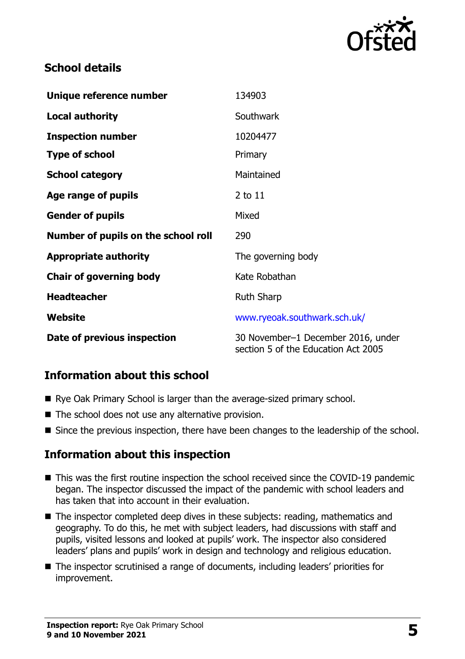

# **School details**

| Unique reference number             | 134903                                                                    |
|-------------------------------------|---------------------------------------------------------------------------|
| <b>Local authority</b>              | Southwark                                                                 |
| <b>Inspection number</b>            | 10204477                                                                  |
| <b>Type of school</b>               | Primary                                                                   |
| <b>School category</b>              | Maintained                                                                |
| Age range of pupils                 | $2$ to $11$                                                               |
| <b>Gender of pupils</b>             | Mixed                                                                     |
| Number of pupils on the school roll | 290                                                                       |
| <b>Appropriate authority</b>        | The governing body                                                        |
| <b>Chair of governing body</b>      | Kate Robathan                                                             |
| <b>Headteacher</b>                  | <b>Ruth Sharp</b>                                                         |
| Website                             | www.ryeoak.southwark.sch.uk/                                              |
| Date of previous inspection         | 30 November-1 December 2016, under<br>section 5 of the Education Act 2005 |

# **Information about this school**

- Rye Oak Primary School is larger than the average-sized primary school.
- The school does not use any alternative provision.
- Since the previous inspection, there have been changes to the leadership of the school.

### **Information about this inspection**

- This was the first routine inspection the school received since the COVID-19 pandemic began. The inspector discussed the impact of the pandemic with school leaders and has taken that into account in their evaluation.
- The inspector completed deep dives in these subjects: reading, mathematics and geography. To do this, he met with subject leaders, had discussions with staff and pupils, visited lessons and looked at pupils' work. The inspector also considered leaders' plans and pupils' work in design and technology and religious education.
- The inspector scrutinised a range of documents, including leaders' priorities for improvement.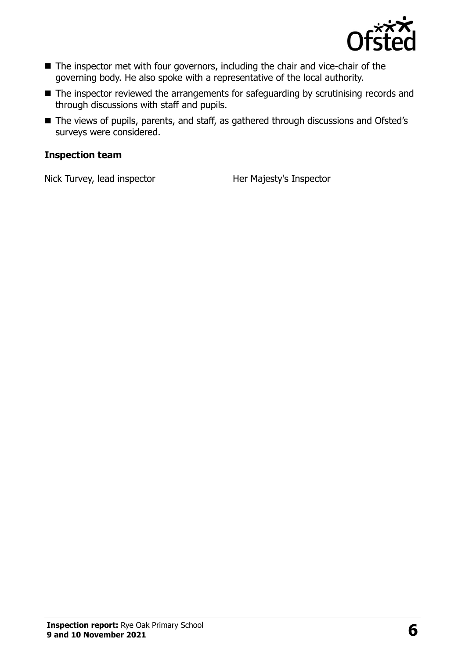

- The inspector met with four governors, including the chair and vice-chair of the governing body. He also spoke with a representative of the local authority.
- The inspector reviewed the arrangements for safeguarding by scrutinising records and through discussions with staff and pupils.
- The views of pupils, parents, and staff, as gathered through discussions and Ofsted's surveys were considered.

#### **Inspection team**

Nick Turvey, lead inspector Her Majesty's Inspector